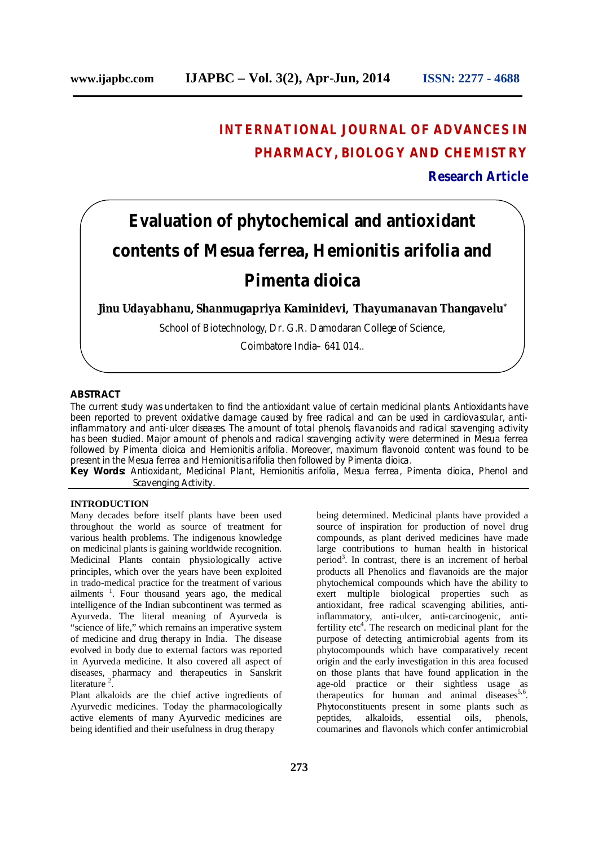# **INTERNATIONAL JOURNAL OF ADVANCES IN PHARMACY, BIOLOGY AND CHEMISTRY Research Article**

# **Evaluation of phytochemical and antioxidant contents of** *Mesua ferrea, Hemionitis arifolia* **and**  *Pimenta dioica*

**Jinu Udayabhanu, Shanmugapriya Kaminidevi, Thayumanavan Thangavelu\***

School of Biotechnology, Dr. G.R. Damodaran College of Science,

Coimbatore India– 641 014..

## **ABSTRACT**

The current study was undertaken to find the antioxidant value of certain medicinal plants. Antioxidants have been reported to prevent oxidative damage caused by free radical and can be used in cardiovascular, antiinflammatory and anti-ulcer diseases. The amount of total phenols, flavanoids and radical scavenging activity has been studied. Major amount of phenols and radical scavenging activity were determined in *Mesua ferrea* followed by *Pimenta dioica* and *Hemionitis arifolia*. Moreover, maximum flavonoid content was found to be present in the *Mesua ferrea* and *Hemionitis arifolia* then followed by *Pimenta dioica*.

**Key Words:** Antioxidant, Medicinal Plant, *Hemionitis arifolia*, *Mesua ferrea*, *Pimenta dioica*, Phenol and Scavenging Activity.

#### **INTRODUCTION**

Many decades before itself plants have been used throughout the world as source of treatment for various health problems. The indigenous knowledge on medicinal plants is gaining worldwide recognition. Medicinal Plants contain physiologically active principles, which over the years have been exploited in trado-medical practice for the treatment of various ailments<sup>1</sup>. Four thousand years ago, the medical intelligence of the Indian subcontinent was termed as Ayurveda. The literal meaning of Ayurveda is "science of life," which remains an imperative system of medicine and drug therapy in India. The disease evolved in body due to external factors was reported in Ayurveda medicine. It also covered all aspect of diseases, pharmacy and therapeutics in Sanskrit literature<sup>2</sup>.

Plant alkaloids are the chief active ingredients of Ayurvedic medicines. Today the pharmacologically active elements of many Ayurvedic medicines are being identified and their usefulness in drug therapy

being determined. Medicinal plants have provided a source of inspiration for production of novel drug compounds, as plant derived medicines have made large contributions to human health in historical period<sup>3</sup>. In contrast, there is an increment of herbal products all Phenolics and flavanoids are the major phytochemical compounds which have the ability to exert multiple biological properties such as antioxidant, free radical scavenging abilities, antiinflammatory, anti-ulcer, anti-carcinogenic, antifertility etc<sup>4</sup>. The research on medicinal plant for the purpose of detecting antimicrobial agents from its phytocompounds which have comparatively recent origin and the early investigation in this area focused on those plants that have found application in the age-old practice or their sightless usage as therapeutics for human and animal diseases<sup>5,6</sup>. Phytoconstituents present in some plants such as peptides, alkaloids, essential oils, phenols, coumarines and flavonols which confer antimicrobial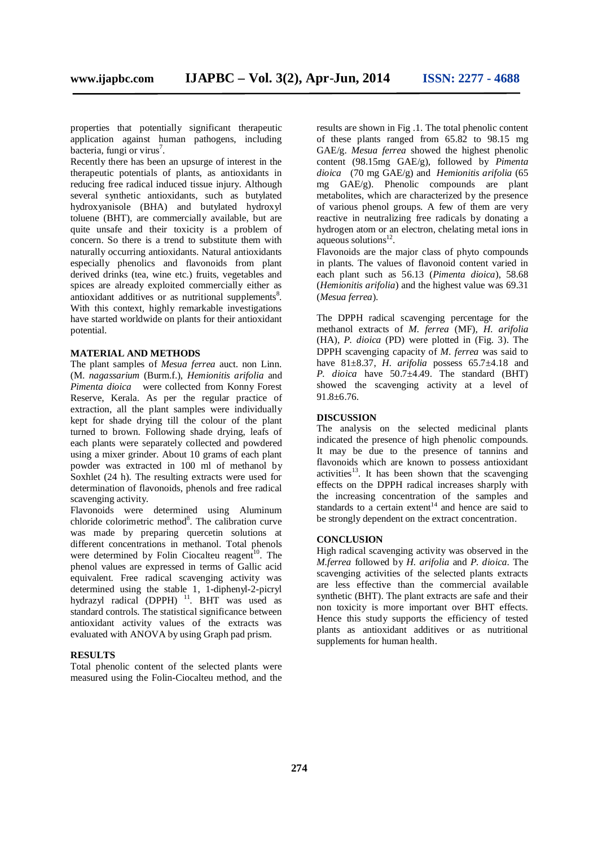properties that potentially significant therapeutic application against human pathogens, including  $b$ acteria, fungi or virus<sup>7</sup>.

Recently there has been an upsurge of interest in the therapeutic potentials of plants, as antioxidants in reducing free radical induced tissue injury. Although several synthetic antioxidants, such as butylated hydroxyanisole (BHA) and butylated hydroxyl toluene (BHT), are commercially available, but are quite unsafe and their toxicity is a problem of concern. So there is a trend to substitute them with naturally occurring antioxidants. Natural antioxidants especially phenolics and flavonoids from plant derived drinks (tea, wine etc.) fruits, vegetables and spices are already exploited commercially either as antioxidant additives or as nutritional supplements<sup>8</sup>. With this context, highly remarkable investigations have started worldwide on plants for their antioxidant potential.

#### **MATERIAL AND METHODS**

The plant samples of *Mesua ferrea* auct. non Linn. (M. *nagassarium* (Burm.f.), *Hemionitis arifolia* and *Pimenta dioica* were collected from Konny Forest Reserve, Kerala. As per the regular practice of extraction, all the plant samples were individually kept for shade drying till the colour of the plant turned to brown. Following shade drying, leafs of each plants were separately collected and powdered using a mixer grinder. About 10 grams of each plant powder was extracted in 100 ml of methanol by Soxhlet (24 h). The resulting extracts were used for determination of flavonoids, phenols and free radical scavenging activity.

Flavonoids were determined using Aluminum chloride colorimetric method<sup>8</sup>. The calibration curve was made by preparing quercetin solutions at different concentrations in methanol. Total phenols were determined by Folin Ciocalteu reagent<sup>10</sup>. The phenol values are expressed in terms of Gallic acid equivalent. Free radical scavenging activity was determined using the stable 1, 1-diphenyl-2-picryl hydrazyl radical (DPPH)<sup>11</sup>. BHT was used as standard controls. The statistical significance between antioxidant activity values of the extracts was evaluated with ANOVA by using Graph pad prism.

### **RESULTS**

Total phenolic content of the selected plants were measured using the Folin-Ciocalteu method, and the

results are shown in Fig .1. The total phenolic content of these plants ranged from 65.82 to 98.15 mg GAE/g. *Mesua ferrea* showed the highest phenolic content (98.15mg GAE/g), followed by *Pimenta dioica* (70 mg GAE/g) and *Hemionitis arifolia* (65 mg GAE/g). Phenolic compounds are plant metabolites, which are characterized by the presence of various phenol groups. A few of them are very reactive in neutralizing free radicals by donating a hydrogen atom or an electron, chelating metal ions in  $a$ queous solutions $^{12}$ .

Flavonoids are the major class of phyto compounds in plants. The values of flavonoid content varied in each plant such as 56.13 (*Pimenta dioica*), 58.68 (*Hemionitis arifolia*) and the highest value was 69.31 (*Mesua ferrea*).

The DPPH radical scavenging percentage for the methanol extracts of *M. ferrea* (MF)*, H. arifolia* (HA)*, P. dioica* (PD) were plotted in (Fig. 3). The DPPH scavenging capacity of *M. ferrea* was said to have 81±8.37, *H. arifolia* possess 65.7±4.18 and *P. dioica* have 50.7±4.49. The standard (BHT) showed the scavenging activity at a level of 91.8±6.76.

#### **DISCUSSION**

The analysis on the selected medicinal plants indicated the presence of high phenolic compounds. It may be due to the presence of tannins and flavonoids which are known to possess antioxidant activities<sup>13</sup>. It has been shown that the scavenging effects on the DPPH radical increases sharply with the increasing concentration of the samples and standards to a certain extent<sup>14</sup> and hence are said to be strongly dependent on the extract concentration.

#### **CONCLUSION**

High radical scavenging activity was observed in the *M.ferrea* followed by *H. arifolia* and *P. dioica*. The scavenging activities of the selected plants extracts are less effective than the commercial available synthetic (BHT). The plant extracts are safe and their non toxicity is more important over BHT effects. Hence this study supports the efficiency of tested plants as antioxidant additives or as nutritional supplements for human health.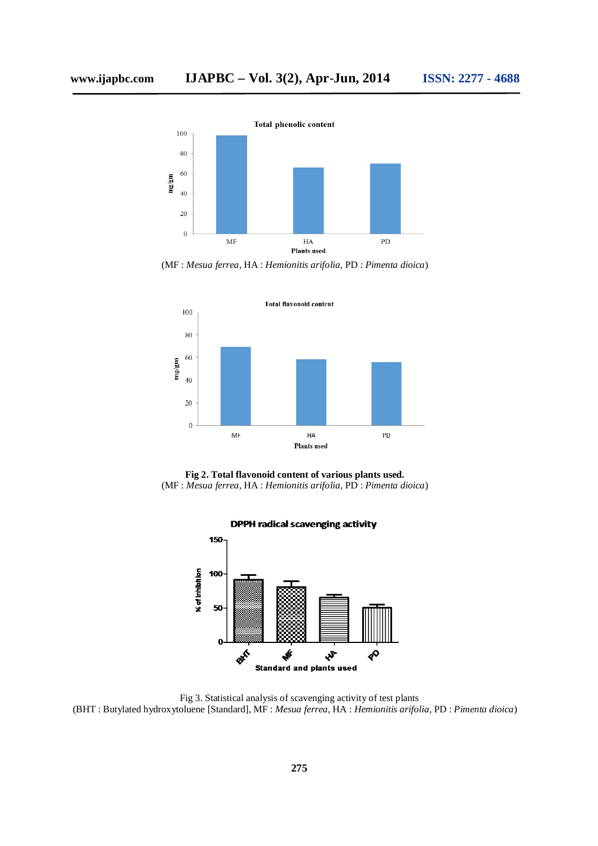

(MF : *Mesua ferrea*, HA : *Hemionitis arifolia,* PD : *Pimenta dioica*)







Fig 3. Statistical analysis of scavenging activity of test plants (BHT : Butylated hydroxytoluene [Standard], MF : *Mesua ferrea*, HA : *Hemionitis arifolia,* PD : *Pimenta dioica*)